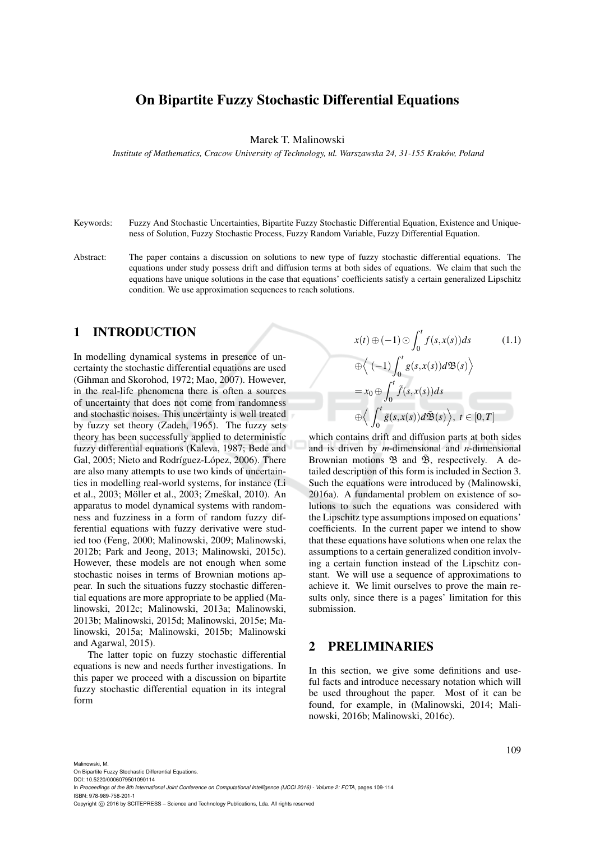# On Bipartite Fuzzy Stochastic Differential Equations

Marek T. Malinowski

*Institute of Mathematics, Cracow University of Technology, ul. Warszawska 24, 31-155 Krakow, Poland ´*

- Keywords: Fuzzy And Stochastic Uncertainties, Bipartite Fuzzy Stochastic Differential Equation, Existence and Uniqueness of Solution, Fuzzy Stochastic Process, Fuzzy Random Variable, Fuzzy Differential Equation.
- Abstract: The paper contains a discussion on solutions to new type of fuzzy stochastic differential equations. The equations under study possess drift and diffusion terms at both sides of equations. We claim that such the equations have unique solutions in the case that equations' coefficients satisfy a certain generalized Lipschitz condition. We use approximation sequences to reach solutions.

### 1 INTRODUCTION

In modelling dynamical systems in presence of uncertainty the stochastic differential equations are used (Gihman and Skorohod, 1972; Mao, 2007). However, in the real-life phenomena there is often a sources of uncertainty that does not come from randomness and stochastic noises. This uncertainty is well treated by fuzzy set theory (Zadeh, 1965). The fuzzy sets theory has been successfully applied to deterministic fuzzy differential equations (Kaleva, 1987; Bede and Gal, 2005; Nieto and Rodríguez-López, 2006). There are also many attempts to use two kinds of uncertainties in modelling real-world systems, for instance (Li et al., 2003; Möller et al., 2003; Zmeškal, 2010). An apparatus to model dynamical systems with randomness and fuzziness in a form of random fuzzy differential equations with fuzzy derivative were studied too (Feng, 2000; Malinowski, 2009; Malinowski, 2012b; Park and Jeong, 2013; Malinowski, 2015c). However, these models are not enough when some stochastic noises in terms of Brownian motions appear. In such the situations fuzzy stochastic differential equations are more appropriate to be applied (Malinowski, 2012c; Malinowski, 2013a; Malinowski, 2013b; Malinowski, 2015d; Malinowski, 2015e; Malinowski, 2015a; Malinowski, 2015b; Malinowski and Agarwal, 2015).

The latter topic on fuzzy stochastic differential equations is new and needs further investigations. In this paper we proceed with a discussion on bipartite fuzzy stochastic differential equation in its integral form

$$
x(t) \oplus (-1) \odot \int_0^t f(s, x(s)) ds \qquad (1.1)
$$

$$
\oplus \left\langle (-1) \int_0^t g(s, x(s)) d\mathfrak{B}(s) \right\rangle
$$

$$
= x_0 \oplus \int_0^t \tilde{f}(s, x(s)) ds
$$

$$
\oplus \left\langle \int_0^t \tilde{g}(s, x(s)) d\tilde{\mathfrak{B}}(s) \right\rangle, t \in [0, T]
$$

which contains drift and diffusion parts at both sides and is driven by *m*-dimensional and *n*-dimensional Brownian motions  $\mathfrak{B}$  and  $\tilde{\mathfrak{B}}$ , respectively. A detailed description of this form is included in Section 3. Such the equations were introduced by (Malinowski, 2016a). A fundamental problem on existence of solutions to such the equations was considered with the Lipschitz type assumptions imposed on equations' coefficients. In the current paper we intend to show that these equations have solutions when one relax the assumptions to a certain generalized condition involving a certain function instead of the Lipschitz constant. We will use a sequence of approximations to achieve it. We limit ourselves to prove the main results only, since there is a pages' limitation for this submission.

#### 2 PRELIMINARIES

In this section, we give some definitions and useful facts and introduce necessary notation which will be used throughout the paper. Most of it can be found, for example, in (Malinowski, 2014; Malinowski, 2016b; Malinowski, 2016c).

In *Proceedings of the 8th International Joint Conference on Computational Intelligence (IJCCI 2016) - Volume 2: FCTA*, pages 109-114 ISBN: 978-989-758-201-1

Copyright (C) 2016 by SCITEPRESS - Science and Technology Publications, Lda. All rights reserved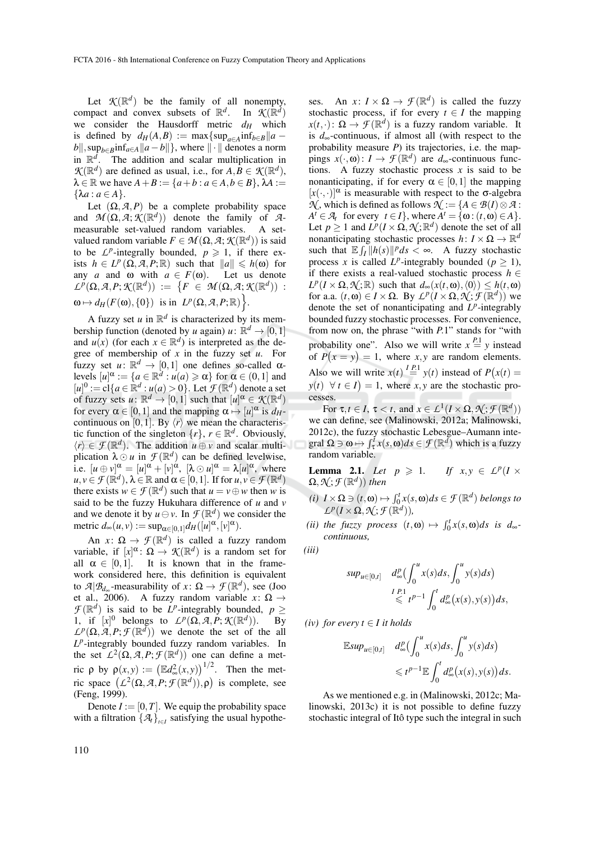Let  $K(\mathbb{R}^d)$  be the family of all nonempty, compact and convex subsets of  $\mathbb{R}^d$ . In  $\mathcal{K}(\mathbb{R}^d)$ we consider the Hausdorff metric *d<sup>H</sup>* which is defined by  $d_H(A, B) := \max\{\sup_{a \in A} \inf_{b \in B} \|a - b\| \}$  $b\|$ , sup<sub>*b*∈*B*</sub>**inf**<sub>*a*∈*A*</sub> $\|a - b\|$ }, where  $\| \cdot \|$  denotes a norm in  $\mathbb{R}^d$ . The addition and scalar multiplication in  $\mathcal{K}(\mathbb{R}^d)$  are defined as usual, i.e., for  $A, B \in \mathcal{K}(\mathbb{R}^d)$ ,  $\lambda \in \mathbb{R}$  we have  $A + B := \{a + b : a \in A, b \in B\}$ ,  $\lambda A :=$  ${ \lambda a : a \in A \}.$ 

Let  $(\Omega, \mathcal{A}, P)$  be a complete probability space and  $\mathcal{M}(\Omega, \mathcal{A}; \mathcal{K}(\mathbb{R}^d))$  denote the family of  $\mathcal{A}$ measurable set-valued random variables. A setvalued random variable  $F \in \mathcal{M}(\Omega, \mathcal{A}; \mathcal{K}(\mathbb{R}^d))$  is said to be  $L^p$ -integrally bounded,  $p \ge 1$ , if there exists  $h \in L^p(\Omega, \mathcal{A}, P; \mathbb{R})$  such that  $\|a\| \leq h(\omega)$  for any *a* and  $\omega$  with  $a \in F(\omega)$ . Let us denote  $\mathcal{L}^p(\Omega, \mathcal{A}, P; \mathcal{K}(\mathbb{R}^d)) \; := \; \big\{ F \; \in \; \mathcal{M}(\Omega, \mathcal{A}; \mathcal{K}(\mathbb{R}^d)) \; : \;$  $\omega \mapsto d_H(F(\omega), \{0\})$  is in  $L^p(\Omega, \mathcal{A}, P; \mathbb{R})$ .

A fuzzy set *u* in  $\mathbb{R}^d$  is characterized by its membership function (denoted by *u* again)  $u: \mathbb{R}^d \to [0,1]$ and  $u(x)$  (for each  $x \in \mathbb{R}^d$ ) is interpreted as the degree of membership of *x* in the fuzzy set *u*. For fuzzy set  $u: \mathbb{R}^d \to [0,1]$  one defines so-called  $\alpha$ levels  $[u]^\alpha := \{a \in \mathbb{R}^d : u(a) \ge \alpha\}$  for  $\alpha \in (0,1]$  and  $[u]^0 := cl\{a \in \mathbb{R}^d : u(a) > 0\}$ . Let  $\mathcal{F}(\mathbb{R}^d)$  denote a set of fuzzy sets  $u: \mathbb{R}^d \to [0,1]$  such that  $[u]^\alpha \in \mathcal{K}(\mathbb{R}^d)$ for every  $\alpha \in [0,1]$  and the mapping  $\alpha \mapsto [u]^{\alpha}$  is  $d_H$ continuous on [0,1]. By  $\langle r \rangle$  we mean the characteristic function of the singleton  $\{r\}$ ,  $r \in \mathbb{R}^d$ . Obviously,  $\langle r \rangle \in \mathcal{F}(\mathbb{R}^d)$ . The addition  $u \oplus v$  and scalar multiplication  $\lambda \odot u$  in  $\mathcal{F}(\mathbb{R}^d)$  can be defined levelwise, i.e.  $[u \oplus v]^{\alpha} = [u]^{\alpha} + [v]^{\alpha}$ ,  $[\lambda \odot u]^{\alpha} = \lambda[u]^{\alpha}$ , where  $u, v \in \mathcal{F}(\mathbb{R}^d), \lambda \in \mathbb{R}$  and  $\alpha \in [0, 1]$ . If for  $u, v \in \mathcal{F}(\mathbb{R}^d)$ there exists  $w \in \mathcal{F}(\mathbb{R}^d)$  such that  $u = v \oplus w$  then *w* is said to be the fuzzy Hukuhara difference of *u* and *v* and we denote it by  $u \ominus v$ . In  $\mathcal{F}(\mathbb{R}^d)$  we consider the metric  $d_{\infty}(u, v) := \sup_{\alpha \in [0, 1]} d_H([u]^{\alpha}, [v]^{\alpha}).$ 

An  $x: \Omega \to \mathcal{F}(\mathbb{R}^d)$  is called a fuzzy random variable, if  $[x]^\alpha$ :  $\Omega \to \mathcal{K}(\mathbb{R}^d)$  is a random set for all  $\alpha \in [0,1]$ . It is known that in the framework considered here, this definition is equivalent to  $\mathcal{A}|\mathcal{B}_{d_{\infty}}$ -measurability of  $x: \Omega \to \mathcal{F}(\mathbb{R}^d)$ , see (Joo et al., 2006). A fuzzy random variable  $x: \Omega \rightarrow$  $\mathcal{F}(\mathbb{R}^d)$  is said to be *L*<sup>*p*</sup>-integrably bounded,  $p \ge$ 1, if  $[x]^0$  belongs to  $L^p(\Omega, \mathcal{A}, P; \mathcal{K}(\mathbb{R}^d))$ )). By  $L^p(\Omega, \mathcal{A}, P; \mathcal{F}(\mathbb{R}^d))$  we denote the set of the all *L p* -integrably bounded fuzzy random variables. In the set  $L^2(\Omega, \mathcal{A}, P; \mathcal{F}(\mathbb{R}^d))$  one can define a met- $\text{ric } \rho \text{ by } \rho(x, y) := (\mathbb{E}d_{\infty}^2(x, y))^{1/2}.$  Then the metric space  $(L^2(\Omega, \mathcal{A}, P; \mathcal{F}(\mathbb{R}^d)), \rho)$  is complete, see (Feng, 1999).

Denote  $I := [0, T]$ . We equip the probability space with a filtration  $\{\mathcal{A}_t\}_{t \in I}$  satisfying the usual hypothe-

ses. An *x*:  $I \times \Omega \rightarrow \mathcal{F}(\mathbb{R}^d)$  is called the fuzzy stochastic process, if for every  $t \in I$  the mapping  $x(t, \cdot)$ :  $\Omega \to \mathcal{F}(\mathbb{R}^d)$  is a fuzzy random variable. It is *d*∞-continuous, if almost all (with respect to the probability measure *P*) its trajectories, i.e. the mappings  $x(\cdot, \omega): I \to \mathcal{F}(\mathbb{R}^d)$  are  $d_{\infty}$ -continuous functions. A fuzzy stochastic process  $x$  is said to be nonanticipating, if for every  $\alpha \in [0,1]$  the mapping  $[x(\cdot, \cdot)]^{\alpha}$  is measurable with respect to the  $\sigma$ -algebra  $\mathcal{N}$ , which is defined as follows  $\mathcal{N} := \{A \in \mathcal{B}(I) \otimes \mathcal{A}$ :  $A^t \in \mathcal{A}_t$  for every  $t \in I$ , where  $A^t = \{\omega : (t, \omega) \in A\}.$ Let  $p \ge 1$  and  $L^p(I \times \Omega, \mathcal{N}; \mathbb{R}^d)$  denote the set of all nonanticipating stochastic processes  $h: I \times \Omega \to \mathbb{R}^d$ such that  $\mathbb{E} \int_I ||h(s)||^p ds < \infty$ . A fuzzy stochastic process *x* is called *L*<sup>*p*</sup>-integrably bounded ( $p \ge 1$ ), if there exists a real-valued stochastic process  $h \in$  $L^p(I \times \Omega, \mathcal{N}; \mathbb{R})$  such that  $d_{\infty}(x(t, \omega), \langle 0 \rangle) \leq h(t, \omega)$ for a.a.  $(t, \omega) \in I \times \Omega$ . By  $L^p(I \times \Omega, \mathcal{N}; \mathcal{F}(\mathbb{R}^d))$  we denote the set of nonanticipating and  $L^p$ -integrably bounded fuzzy stochastic processes. For convenience, from now on, the phrase "with *P*.1" stands for "with probability one". Also we will write  $x = \binom{p_1}{p_1}$  instead of  $P(x = y) = 1$ , where *x*, *y* are random elements. Also we will write  $x(t) \stackrel{I.P.1}{=} y(t)$  instead of  $P(x(t)) =$  $y(t) \forall t \in I$  = 1, where *x*, *y* are the stochastic processes.

For  $\tau, t \in I$ ,  $\tau < t$ , and  $x \in L^1(I \times \Omega, \mathcal{N}; \mathcal{F}(\mathbb{R}^d))$ we can define, see (Malinowski, 2012a; Malinowski, 2012c), the fuzzy stochastic Lebesgue–Aumann inte- $\text{grad }\Omega \ni \omega \mapsto \int_{\tau}^{\tau} x(s, \omega) ds \in \mathcal{F}(\mathbb{R}^d)$  which is a fuzzy random variable.

**Lemma 2.1.** *Let*  $p \ge 1$ .  $P(I \times$  $\Omega, \mathcal{N}; \mathcal{F}(\mathbb{R}^d)$ ) then

- $f$ *i*) *I* × Ω ∋  $(t, \omega)$   $\mapsto \int_0^t x(s, \omega) ds \in \mathcal{F}(\mathbb{R}^d)$  *belongs to*  $\mathcal{L}^p(I \times \Omega, \mathcal{N}; \mathcal{F}(\mathbb{R}^d)),$
- (*ii*) the fuzzy process  $(t, \omega) \mapsto \int_0^t x(s, \omega) ds$  is  $d_{\infty}$ *continuous,*

$$
(iii)
$$

$$
sup_{u\in[0,t]} d_{\infty}^p \left(\int_0^u x(s)ds, \int_0^u y(s)ds\right)
$$
  

$$
\leq t^{p-1} \int_0^t d_{\infty}^p \left(x(s), y(s)\right)ds,
$$

*(iv)* for every  $t \in I$  *it holds* 

$$
\mathbb{E} \sup_{u \in [0,t]} d_{\infty}^p \left( \int_0^u x(s) ds, \int_0^u y(s) ds \right) \leq t^{p-1} \mathbb{E} \int_0^t d_{\infty}^p \left( x(s), y(s) \right) ds.
$$

As we mentioned e.g. in (Malinowski, 2012c; Malinowski, 2013c) it is not possible to define fuzzy stochastic integral of Itô type such the integral in such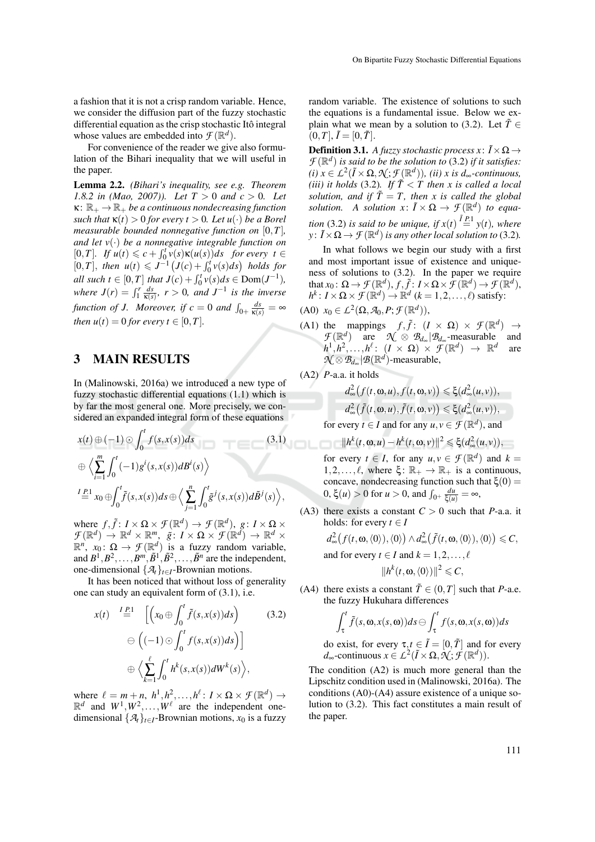a fashion that it is not a crisp random variable. Hence, we consider the diffusion part of the fuzzy stochastic differential equation as the crisp stochastic Itô integral whose values are embedded into  $\mathcal{F}(\mathbb{R}^d)$ .

For convenience of the reader we give also formulation of the Bihari inequality that we will useful in the paper.

Lemma 2.2. *(Bihari's inequality, see e.g. Theorem 1.8.2 in (Mao, 2007)). Let*  $T > 0$  *and*  $c > 0$ . Let  $\kappa: \mathbb{R}_+ \to \mathbb{R}_+$  *be a continuous nondecreasing function such that*  $\kappa(t) > 0$  *for every*  $t > 0$ *. Let*  $u(\cdot)$  *be a Borel measurable bounded nonnegative function on* [0,*T*]*, and let v*(·) *be a nonnegative integrable function on*  $[0, T]$ *. If*  $u(t) \leq c + \int_0^t v(s) \kappa(u(s)) ds$  for every  $t \in$  $[0, T]$ , *then*  $u(t) \leq J^{-1} (J(c) + \int_0^t v(s) ds)$  *holds for all such t*  $\in [0, T]$  *that*  $J(c) + \int_0^t v(s) ds \in Dom(J^{-1}),$ *where*  $J(r) = \int_1^r \frac{ds}{\kappa(s)}$ ,  $r > 0$ , and  $J^{-1}$  is the inverse *function of J. Moreover, if*  $c = 0$  *and*  $\int_{0+} \frac{ds}{\kappa(s)} = \infty$ *then*  $u(t) = 0$  *for every*  $t \in [0, T]$ *.* 

#### 3 MAIN RESULTS

In (Malinowski, 2016a) we introduced a new type of fuzzy stochastic differential equations (1.1) which is by far the most general one. More precisely, we considered an expanded integral form of these equations

$$
x(t) \oplus (-1) \odot \int_0^t f(s, x(s)) ds
$$
\n
$$
\oplus \left\langle \sum_{i=1}^m \int_0^t (-1) g^i(s, x(s)) dB^i(s) \right\rangle
$$
\n
$$
L^2 \cong x_0 \oplus \int_0^t \tilde{f}(s, x(s)) ds \oplus \left\langle \sum_{j=1}^n \int_0^t \tilde{g}^j(s, x(s)) d\tilde{B}^j(s) \right\rangle,
$$
\n(3.1)

where  $f, \tilde{f}: I \times \Omega \times \mathcal{F}(\mathbb{R}^d) \to \mathcal{F}(\mathbb{R}^d)$ ,  $g: I \times \Omega \times \mathbb{R}^d$  $\mathcal{F}(\mathbb{R}^d) \to \mathbb{R}^d \times \mathbb{R}^m$ ,  $\tilde{g} \colon I \times \Omega \times \mathcal{F}(\mathbb{R}^d) \to \mathbb{R}^d \times$  $\mathbb{R}^n$ ,  $x_0$ :  $\Omega \to \mathcal{F}(\mathbb{R}^d)$  is a fuzzy random variable, and  $B^1, B^2, \ldots, B^m, \tilde{B}^1, \tilde{B}^2, \ldots, \tilde{B}^n$  are the independent, one-dimensional  $\{\mathcal{A}_t\}_{t\in I}$ -Brownian motions.

It has been noticed that without loss of generality one can study an equivalent form of (3.1), i.e.

$$
x(t) \stackrel{I_{E1}}{=} \left[ \left( x_0 \oplus \int_0^t \tilde{f}(s, x(s)) ds \right) \right] \tag{3.2}
$$

$$
\ominus \left( (-1) \odot \int_0^t f(s, x(s)) ds \right) \right]
$$

$$
\oplus \left\langle \sum_{k=1}^\ell \int_0^t h^k(s, x(s)) dW^k(s) \right\rangle,
$$

where  $\ell = m + n$ ,  $h^1, h^2, \ldots, h^{\ell}$ :  $I \times \Omega \times \mathcal{F}(\mathbb{R}^d) \rightarrow$  $\mathbb{R}^d$  and  $W^1, W^2, \ldots, W^\ell$  are the independent onedimensional  $\{\mathcal{A}_t\}_{t\in I}$ -Brownian motions,  $x_0$  is a fuzzy

random variable. The existence of solutions to such the equations is a fundamental issue. Below we explain what we mean by a solution to (3.2). Let  $\tilde{T} \in$  $[0, T], \tilde{I} = [0, \tilde{T}].$ 

**Definition 3.1.** *A fuzzy stochastic process x*:  $\tilde{I} \times \Omega \rightarrow$  $\mathcal{F}(\mathbb{R}^d)$  *is said to be the solution to* (3.2) *if it satisfies:*  $(i)$   $x \in L^2(\tilde{I} \times \Omega, \mathcal{N}; \mathcal{F}(\mathbb{R}^d))$ *, (ii) x is d*<sub>∞</sub>-continuous, *(iii) it holds (3.2). If*  $\widetilde{T}$   $\lt$  *T* then *x* is called a local *solution, and if*  $\tilde{T} = T$ *, then x is called the global solution.* A *solution*  $x: \tilde{I} \times \Omega \rightarrow \mathcal{F}(\mathbb{R}^d)$  *to equation* (3.2) *is said to be unique, if*  $x(t) \stackrel{\tilde{I} P.1}{=} y(t)$ *, where*  $y: \tilde{I} \times \Omega \rightarrow \mathcal{F}(\mathbb{R}^d)$  *is any other local solution to* (3.2).

In what follows we begin our study with a first and most important issue of existence and uniqueness of solutions to (3.2). In the paper we require that  $x_0: \Omega \to \mathcal{F}(\mathbb{R}^d), f, \tilde{f}: I \times \Omega \times \mathcal{F}(\mathbb{R}^d) \to \mathcal{F}(\mathbb{R}^d),$  $h^k$ :  $I \times \Omega \times \mathcal{F}(\mathbb{R}^d) \to \mathbb{R}^d$  ( $k = 1, 2, ..., \ell$ ) satisfy:

- $(A0)$   $x_0 \in L^2(\Omega, \mathcal{A}_0, P; \mathcal{F}(\mathbb{R}^d)),$
- (A1) the mappings  $f, \tilde{f}$ :  $(I \times \Omega) \times \mathcal{F}(\mathbb{R}^d) \rightarrow$  $\mathcal{F}(\mathbb{R}^d)$  are  $\mathcal{N} \otimes \mathcal{B}_{d_{\infty}} | \mathcal{B}_{d_{\infty}}$ -measurable and  $h^1, h^2, \ldots, h^{\ell}$ :  $(I \times \Omega) \times \mathcal{F}(\mathbb{R}^d) \rightarrow \mathbb{R}^d$  are  $\mathcal{N} \otimes \mathcal{B}_{d_{\infty}} | \mathcal{B}(\mathbb{R}^d)$ -measurable,
- (A2) *P*-a.a. it holds

$$
d_{\infty}^{2}(f(t, \mathbf{w}, u), f(t, \mathbf{w}, v)) \leq \xi(d_{\infty}^{2}(u, v)),
$$
  
\n
$$
d_{\infty}^{2}(\tilde{f}(t, \mathbf{w}, u), \tilde{f}(t, \mathbf{w}, v)) \leq \xi(d_{\infty}^{2}(u, v)),
$$
  
\nevery  $t \in I$  and for any  $u, v \in \mathcal{F}(\mathbb{R}^{d})$  and

for every *t*  $\in$  *I* and for any *u*, *v*  $\in$  *f* ( $\mathbb{R}^d$ ), and

 $||h^k(t, \omega, u) - h^k(t, \omega, v)||^2 \le \xi(d_{\infty}^2(u, v)),$ for every  $t \in I$ , for any  $u, v \in \mathcal{F}(\mathbb{R}^d)$  and  $k =$  $1, 2, \ldots, \ell$ , where  $\xi \colon \mathbb{R}_+ \to \mathbb{R}_+$  is a continuous, concave, nondecreasing function such that  $ξ(0)$  =  $0, ξ(*u*) > 0$  for *u* > 0, and  $\int_{0^+} \frac{du}{ξ(u)} = ∞,$ 

(A3) there exists a constant  $C > 0$  such that *P*-a.a. it holds: for every  $t \in I$ 

$$
d_{\infty}^{2}(f(t, \mathbf{\omega}, \langle 0 \rangle), \langle 0 \rangle) \wedge d_{\infty}^{2}(\tilde{f}(t, \mathbf{\omega}, \langle 0 \rangle), \langle 0 \rangle) \leq C,
$$
  
and for every  $t \in I$  and  $k = 1, 2, ..., \ell$   

$$
||h^{k}(t, \mathbf{\omega}, \langle 0 \rangle)||^{2} \leq C,
$$

(A4) there exists a constant  $\tilde{T} \in (0, T]$  such that *P*-a.e. the fuzzy Hukuhara differences

$$
\int_{\tau}^{t} \tilde{f}(s, \mathbf{w}, x(s, \mathbf{\omega})) ds \ominus \int_{\tau}^{t} f(s, \mathbf{\omega}, x(s, \mathbf{\omega})) ds
$$

do exist, for every  $\tau, t \in \tilde{I} = [0, \tilde{T}]$  and for every  $d_{\infty}$ -continuous  $x \in L^2(\tilde{I} \times \Omega, \mathcal{N}; \mathcal{F}(\mathbb{R}^d)).$ 

The condition (A2) is much more general than the Lipschitz condition used in (Malinowski, 2016a). The conditions (A0)-(A4) assure existence of a unique solution to (3.2). This fact constitutes a main result of the paper.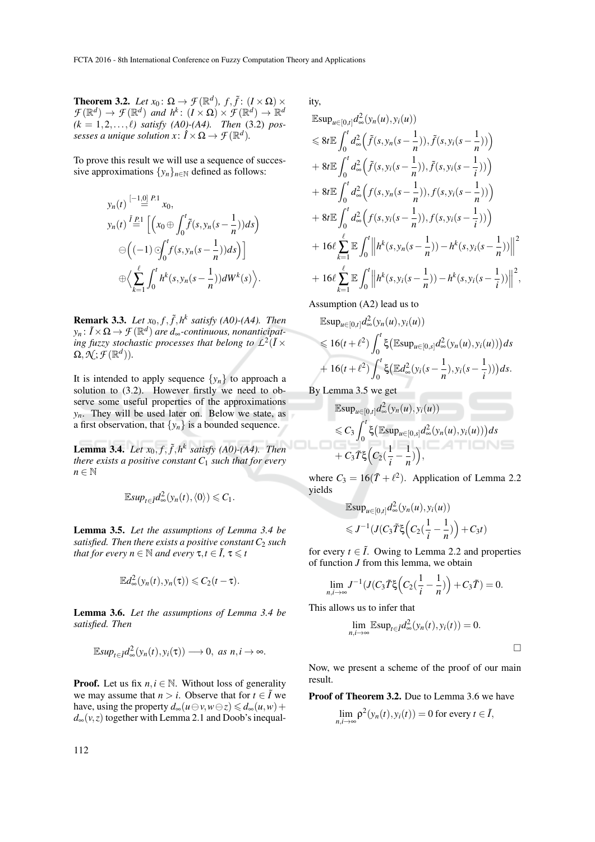**Theorem 3.2.** *Let*  $x_0: \Omega \to \mathcal{F}(\mathbb{R}^d)$ ,  $f, \tilde{f}: (I \times \Omega) \times \mathcal{F}(\mathbb{R}^d)$  $\mathcal{F}(\mathbb{R}^d) \to \mathcal{F}(\mathbb{R}^d)$  and  $h^k$ :  $(I \times \Omega) \times \mathcal{F}(\mathbb{R}^d) \to \mathbb{R}^d$  $(k = 1, 2, ..., \ell)$  *satisfy* (A0)-(A4). Then (3.2) *possesses a unique solution*  $x: \hat{I} \times \Omega \rightarrow \mathcal{F}(\mathbb{R}^d)$ *.* 

To prove this result we will use a sequence of successive approximations  $\{y_n\}_{n\in\mathbb{N}}$  defined as follows:

$$
y_n(t) \stackrel{[-1,0]}{=} \stackrel{P:1}{=} x_0,
$$
  
\n
$$
y_n(t) \stackrel{\tilde{I}_{P:1}}{=} \left[ \left( x_0 \oplus \int_0^t \tilde{f}(s, y_n(s - \frac{1}{n})) ds \right) \right]
$$
  
\n
$$
\ominus \left( (-1) \bigcirc \int_0^t f(s, y_n(s - \frac{1}{n})) ds \right) \right]
$$
  
\n
$$
\oplus \left\langle \sum_{k=1}^\ell \int_0^t h^k(s, y_n(s - \frac{1}{n})) dW^k(s) \right\rangle.
$$

**Remark 3.3.** *Let*  $x_0, f, \tilde{f}, h^k$  *satisfy* (A0)-(A4). *Then y<sup>n</sup>* : ˜*<sup>I</sup>* <sup>×</sup><sup>Ω</sup> <sup>→</sup> *F* (<sup>R</sup> *d* ) *are d*∞*-continuous, nonanticipat*ing fuzzy stochastic processes that belong to  $L^2(I \times I)$  $\Omega, \mathcal{N}; \mathcal{F}(\mathbb{R}^d)).$ 

It is intended to apply sequence  $\{y_n\}$  to approach a solution to (3.2). However firstly we need to observe some useful properties of the approximations  $y_n$ . They will be used later on. Below we state, as a first observation, that  $\{y_n\}$  is a bounded sequence.

**Lemma 3.4.** Let  $x_0, f, \tilde{f}, h^k$  satisfy (A0)-(A4). Then *there exists a positive constant C*<sup>1</sup> *such that for every*  $n \in \mathbb{N}$ 

$$
\mathbb{E} \sup_{t \in \tilde{I}} d_{\infty}^2(y_n(t), \langle 0 \rangle) \leq C_1.
$$

Lemma 3.5. *Let the assumptions of Lemma 3.4 be satisfied. Then there exists a positive constant C*<sup>2</sup> *such that for every*  $n \in \mathbb{N}$  *and every*  $\tau, t \in \tilde{I}$ ,  $\tau \leq t$ 

$$
\mathbb{E}d_{\infty}^{2}(y_{n}(t),y_{n}(\tau))\leqslant C_{2}(t-\tau).
$$

Lemma 3.6. *Let the assumptions of Lemma 3.4 be satisfied. Then*

$$
\mathbb{E} \sup_{t \in \bar{I}} d_{\infty}^2(y_n(t), y_i(\tau)) \longrightarrow 0, \text{ as } n, i \longrightarrow \infty.
$$

**Proof.** Let us fix  $n, i \in \mathbb{N}$ . Without loss of generality we may assume that  $n > i$ . Observe that for  $t \in \tilde{I}$  we have, using the property  $d_{\infty}(u \ominus v, w \ominus z) \leq d_{\infty}(u, w) +$  $d_{\infty}(v, z)$  together with Lemma 2.1 and Doob's inequality,

$$
\mathbb{E}\sup_{u\in[0,t]}d_{\infty}^{2}(y_{n}(u), y_{i}(u))
$$
\n
$$
\leq 8t \mathbb{E}\int_{0}^{t}d_{\infty}^{2}(\tilde{f}(s, y_{n}(s-\frac{1}{n})), \tilde{f}(s, y_{i}(s-\frac{1}{n})))
$$
\n
$$
+ 8t \mathbb{E}\int_{0}^{t}d_{\infty}^{2}(\tilde{f}(s, y_{i}(s-\frac{1}{n})), \tilde{f}(s, y_{i}(s-\frac{1}{i})))
$$
\n
$$
+ 8t \mathbb{E}\int_{0}^{t}d_{\infty}^{2}(f(s, y_{n}(s-\frac{1}{n})), f(s, y_{i}(s-\frac{1}{n})))
$$
\n
$$
+ 8t \mathbb{E}\int_{0}^{t}d_{\infty}^{2}(f(s, y_{i}(s-\frac{1}{n})), f(s, y_{i}(s-\frac{1}{i})))
$$
\n
$$
+ 16\ell \sum_{k=1}^{\ell} \mathbb{E}\int_{0}^{t} \left\|h^{k}(s, y_{n}(s-\frac{1}{n})) - h^{k}(s, y_{i}(s-\frac{1}{n}))\right\|^{2}
$$
\n
$$
+ 16\ell \sum_{k=1}^{\ell} \mathbb{E}\int_{0}^{t} \left\|h^{k}(s, y_{i}(s-\frac{1}{n})) - h^{k}(s, y_{i}(s-\frac{1}{i}))\right\|^{2},
$$

Assumption (A2) lead us to

$$
\mathbb{E}\sup_{u\in[0,t]}d_{\infty}^{2}(y_{n}(u), y_{i}(u))
$$
\n
$$
\leq 16(t+\ell^{2})\int_{0}^{t}\xi\big(\mathbb{E}\sup_{u\in[0,s]}d_{\infty}^{2}(y_{n}(u), y_{i}(u))\big)ds
$$
\n
$$
+16(t+\ell^{2})\int_{0}^{t}\xi\big(\mathbb{E}d_{\infty}^{2}(y_{i}(s-\frac{1}{n}), y_{i}(s-\frac{1}{i}))\big)ds.
$$

By Lemma 3.5 we get

$$
\mathbb{E}\sup_{u\in[0,t]}d_{\infty}^{2}(y_{n}(u),y_{i}(u))
$$
  
\$\leq C\_{3}\int\_{0}^{t}\xi\big(\mathbb{E}\sup\_{u\in[0,s]}d\_{\infty}^{2}(y\_{n}(u),y\_{i}(u))\big)ds\$  
+C\_{3}\tilde{T}\xi\big(C\_{2}(\frac{1}{i}-\frac{1}{n})\big),

where  $C_3 = 16(\tilde{T} + \ell^2)$ . Application of Lemma 2.2 yields

$$
\mathbb{E}\sup_{u\in[0,t]}d_{\infty}^{2}(y_{n}(u),y_{i}(u))
$$
  

$$
\leq J^{-1}(J(C_{3}\tilde{T}\xi\left(C_{2}(\frac{1}{i}-\frac{1}{n})\right)+C_{3}t)
$$

for every  $t \in \tilde{I}$ . Owing to Lemma 2.2 and properties of function *J* from this lemma, we obtain

$$
\lim_{n,i\to\infty} J^{-1}(J(C_3\widetilde{T}\xi\Big(C_2(\frac{1}{i}-\frac{1}{n})\Big)+C_3\widetilde{T})=0.
$$

This allows us to infer that

$$
\lim_{n,i\to\infty}\mathbb{E}\sup_{t\in I}d_{\infty}^2(y_n(t),y_i(t))=0.
$$

 $\Box$ 

Now, we present a scheme of the proof of our main result.

Proof of Theorem 3.2. Due to Lemma 3.6 we have

$$
\lim_{n,i\to\infty}\rho^2(y_n(t),y_i(t))=0
$$
 for every  $t\in\tilde{I}$ ,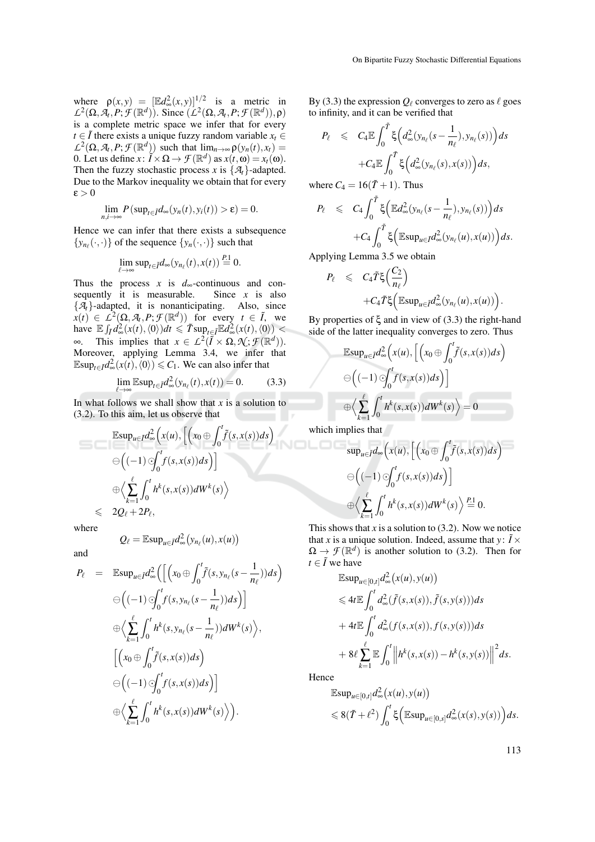where  $\rho(x, y) = \left[\mathbb{E}d_{\infty}^{2}(x, y)\right]^{1/2}$  is a metric in  $L^2(\Omega, \mathcal{A}_t, P; \mathcal{F}(\mathbb{R}^d))$ . Since  $(L^2(\Omega, \mathcal{A}_t, P; \mathcal{F}(\mathbb{R}^d)), \rho)$ is a complete metric space we infer that for every *t* ∈  $\tilde{I}$  there exists a unique fuzzy random variable  $x_t$  ∈  $L^2(\Omega, \mathcal{A}_t, P; \mathcal{F}(\mathbb{R}^d))$  such that  $\lim_{n\to\infty} \rho(y_n(t), x_t) =$ 0. Let us define  $x: \tilde{I} \times \Omega \to \mathcal{F}(\mathbb{R}^d)$  as  $x(t, \omega) = x_t(\omega)$ . Then the fuzzy stochastic process *x* is  $\{A_t\}$ -adapted. Due to the Markov inequality we obtain that for every  $\varepsilon > 0$ 

$$
\lim_{n,i\to\infty} P(\sup_{t\in\tilde{I}}d_{\infty}(y_n(t),y_i(t))>\varepsilon)=0.
$$

Hence we can infer that there exists a subsequence  $\{y_{n_{\ell}}(\cdot,\cdot)\}\)$  of the sequence  $\{y_n(\cdot,\cdot)\}\)$  such that

$$
\lim_{\ell\to\infty}\sup_{t\in\tilde{I}}d_{\infty}(y_{n_{\ell}}(t),x(t))\stackrel{P.1}{=}0.
$$

Thus the process *x* is  $d_{\infty}$ -continuous and con-<br>sequently it is measurable. Since *x* is also sequently it is measurable.  ${A<sub>t</sub>}$ -adapted, it is nonanticipating. Also, since  $\hat{x}(t) \in \hat{L}^2(\Omega, \mathcal{A}_t, P; \mathcal{F}(\mathbb{R}^d))$  for every  $t \in \tilde{I}$ , we have  $\mathbb{E} \int_{\tilde{I}} d^2_{\infty}(x(t),\langle 0 \rangle) dt \leq \tilde{T} \sup_{t \in \tilde{I}} \mathbb{E} d^2_{\infty}(x(t),\langle 0 \rangle) <$  $∞$ . This implies that *x* ∈ *L*<sup>2</sup>( $ilde{I} \times \Omega$ ,  $\mathcal{N}$ ;  $\mathcal{F}(\mathbb{R}^d)$ ). Moreover, applying Lemma 3.4, we infer that  $\mathbb{E} \sup_{t \in \tilde{I}} d_{\infty}^2(x(t), \langle 0 \rangle) \leq C_1$ . We can also infer that

$$
\lim_{\ell \to \infty} \mathbb{E} \sup_{t \in \mathcal{I}} d_{\infty}^2(y_{n_\ell}(t), x(t)) = 0.
$$
 (3.3)

In what follows we shall show that  $x$  is a solution to (3.2). To this aim, let us observe that

$$
\mathbb{E}\sup_{u\in \bar{I}}d_{\infty}^{2}\Big(x(u),\Big[\Big(x_{0}\oplus \int_{0}^{t}\tilde{f}(s,x(s))ds\Big)\Big]
$$
  
\n
$$
\ominus\Big((-1)\ominus\int_{0}^{t}f(s,x(s))ds\Big)\Big]
$$
  
\n
$$
\bigoplus\Big\langle\sum_{k=1}^{\ell}\int_{0}^{t}h^{k}(s,x(s))dW^{k}(s)\Big\rangle
$$
  
\n
$$
\leq 2Q_{\ell}+2P_{\ell},
$$

where

$$
Q_{\ell} = \mathbb{E} \sup_{u \in \tilde{I}} d_{\infty}^2(y_{n_{\ell}}(u), x(u))
$$

and

$$
P_{\ell} = \mathbb{E}\sup_{u \in \tilde{I}} d_{\infty}^{2} \Big( \Big[ \Big( x_{0} \oplus \int_{0}^{t} \tilde{f}(s, y_{n_{\ell}}(s - \frac{1}{n_{\ell}})) ds \Big) \\ \ominus \Big( (-1) \bigotimes_{k=1}^{t} f(s, y_{n_{\ell}}(s - \frac{1}{n_{\ell}})) ds \Big) \Big] \\ \oplus \Big\langle \sum_{k=1}^{\ell} \int_{0}^{t} h^{k}(s, y_{n_{\ell}}(s - \frac{1}{n_{\ell}})) dW^{k}(s) \Big\rangle, \\ \Big[ \Big( x_{0} \oplus \int_{0}^{t} \tilde{f}(s, x(s)) ds \Big) \\ \ominus \Big( (-1) \bigotimes_{k=1}^{t} f(s, x(s)) ds \Big) \Big] \\ \oplus \Big\langle \sum_{k=1}^{\ell} \int_{0}^{t} h^{k}(s, x(s)) dW^{k}(s) \Big\rangle \Big).
$$

By (3.3) the expression  $Q_\ell$  converges to zero as  $\ell$  goes to infinity, and it can be verified that

$$
P_{\ell} \leq C_4 \mathbb{E} \int_0^{\tilde{T}} \xi \Big( d_{\infty}^2 (y_{n_{\ell}}(s - \frac{1}{n_{\ell}}), y_{n_{\ell}}(s)) \Big) ds + C_4 \mathbb{E} \int_0^{\tilde{T}} \xi \Big( d_{\infty}^2 (y_{n_{\ell}}(s), x(s)) \Big) ds,
$$

where  $C_4 = 16(\tilde{T} + 1)$ . Thus

$$
P_{\ell} \leq C_4 \int_0^{\tilde{T}} \xi \Big( \mathbb{E} d_{\infty}^2(y_{n_{\ell}}(s - \frac{1}{n_{\ell}}), y_{n_{\ell}}(s)) \Big) ds
$$
  
+C\_4 \int\_0^{\tilde{T}} \xi \Big( \mathbb{E} \sup\_{u \in \tilde{T}} d\_{\infty}^2(y\_{n\_{\ell}}(u), x(u)) \Big) ds.

Applying Lemma 3.5 we obtain

$$
P_{\ell} \leq C_4 \tilde{T} \xi \left( \frac{C_2}{n_{\ell}} \right) + C_4 \tilde{T} \xi \left( \mathbb{E} \sup_{u \in \tilde{I}} d_{\infty}^2(y_{n_{\ell}}(u), x(u)) \right).
$$

By properties of  $ξ$  and in view of  $(3.3)$  the right-hand side of the latter inequality converges to zero. Thus

$$
\mathbb{E}\sup_{u\in\mathcal{I}}d_{\infty}^{2}\Big(x(u),\Big[\Big(x_{0}\oplus\int_{0}^{t}\tilde{f}(s,x(s))ds\Big)\\ \ominus\Big((-1)\odot\int_{0}^{t}f(s,x(s))ds\Big)\Big]\\ \oplus\Big\langle\sum_{k=1}^{\ell}\int_{0}^{t}h^{k}(s,x(s))dW^{k}(s)\Big\rangle=0
$$

which implies that

$$
\sup_{u \in \tilde{I}} d_{\infty}\Big(x(u), \Big[\Big(x_0 \oplus \int_0^t \tilde{f}(s, x(s)) ds\Big) \Big]
$$
  

$$
\ominus \Big((-1) \bigcirc \int_0^t f(s, x(s)) ds\Big)\Big]
$$
  

$$
\bigcirc \Big\langle \sum_{k=1}^{\ell} \int_0^t h^k(s, x(s)) dW^k(s) \Big\rangle \stackrel{P.1}{=} 0.
$$

This shows that  $x$  is a solution to  $(3.2)$ . Now we notice that *x* is a unique solution. Indeed, assume that *y* :  $\tilde{I} \times$  $\Omega \to \mathcal{F}(\mathbb{R}^d)$  is another solution to (3.2). Then for  $t \in \tilde{I}$  we have

$$
\mathbb{E}\sup_{u\in[0,t]}d_{\infty}^{2}\big(x(u),y(u)\big)
$$
  
\n
$$
\leq 4t\mathbb{E}\int_{0}^{t}d_{\infty}^{2}(\tilde{f}(s,x(s)),\tilde{f}(s,y(s)))ds
$$
  
\n
$$
+4t\mathbb{E}\int_{0}^{t}d_{\infty}^{2}(f(s,x(s)),f(s,y(s)))ds
$$
  
\n
$$
+8\ell\sum_{k=1}^{\ell}\mathbb{E}\int_{0}^{t}\bigg\|h^{k}(s,x(s))-h^{k}(s,y(s))\bigg\|^{2}ds.
$$

Hence

$$
\mathbb{E}\sup_{u\in[0,t]}d_{\infty}^2(x(u),y(u))
$$
  
\$\leqslant 8(\tilde{T}+\ell^2)\int\_0^t \xi\Big(\mathbb{E}\sup\_{u\in[0,s]}d\_{\infty}^2(x(s),y(s))\Big)ds.\$